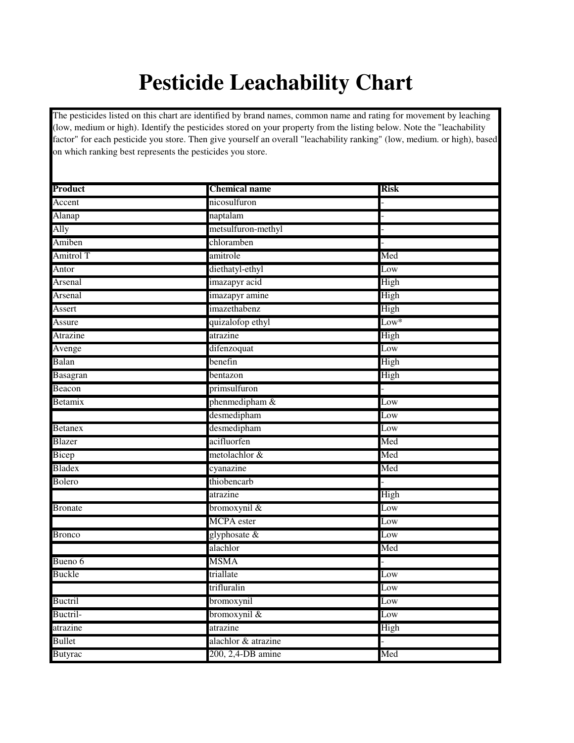## **Pesticide Leachability Chart**

The pesticides listed on this chart are identified by brand names, common name and rating for movement by leaching (low, medium or high). Identify the pesticides stored on your property from the listing below. Note the "leachability factor" for each pesticide you store. Then give yourself an overall "leachability ranking" (low, medium. or high), based on which ranking best represents the pesticides you store.

| Product        | <b>Chemical name</b> | <b>Risk</b> |
|----------------|----------------------|-------------|
| Accent         | nicosulfuron         |             |
| Alanap         | naptalam             |             |
| Ally           | metsulfuron-methyl   |             |
|                | chloramben           |             |
| Amiben         |                      |             |
| Amitrol T      | amitrole             | Med         |
| Antor          | diethatyl-ethyl      | Low         |
| Arsenal        | imazapyr acid        | High        |
| Arsenal        | imazapyr amine       | High        |
| Assert         | imazethabenz         | High        |
| Assure         | quizalofop ethyl     | Low*        |
| Atrazine       | atrazine             | High        |
| Avenge         | difenzoquat          | Low         |
| Balan          | benefin              | High        |
| Basagran       | bentazon             | High        |
| Beacon         | primsulfuron         |             |
| Betamix        | phenmedipham &       | Low         |
|                | desmedipham          | Low         |
| <b>Betanex</b> | desmedipham          | Low         |
| Blazer         | acifluorfen          | Med         |
| Bicep          | metolachlor &        | Med         |
| <b>Bladex</b>  | cyanazine            | Med         |
| Bolero         | thiobencarb          |             |
|                | atrazine             | High        |
| <b>Bronate</b> | bromoxynil &         | Low         |
|                | <b>MCPA</b> ester    | Low         |
| <b>Bronco</b>  | glyphosate &         | Low         |
|                | alachlor             | Med         |
| Bueno 6        | MSMA                 |             |
| <b>Buckle</b>  | triallate            | Low         |
|                | trifluralin          | Low         |
| <b>Buctril</b> | bromoxynil           | Low         |
| Buctril-       | bromoxynil $\&$      | Low         |
| atrazine       | atrazine             | High        |
| <b>Bullet</b>  | alachlor & atrazine  |             |
| <b>Butyrac</b> | 200, 2,4-DB amine    | Med         |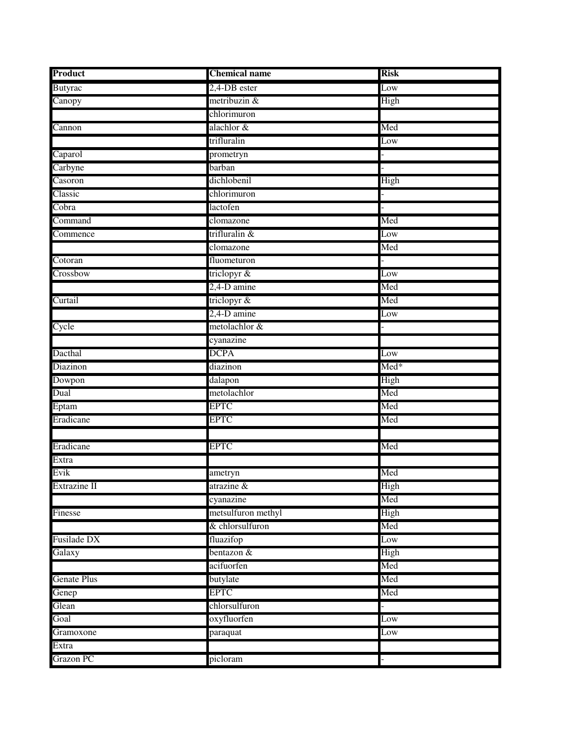| Product            | <b>Chemical name</b> | Risk                      |
|--------------------|----------------------|---------------------------|
| <b>Butyrac</b>     | 2,4-DB ester         | Low                       |
| Canopy             | metribuzin &         | High                      |
|                    | chlorimuron          |                           |
| Cannon             | alachlor &           | Med                       |
|                    | trifluralin          | Low                       |
| Caparol            | prometryn            |                           |
| Carbyne            | barban               |                           |
| Casoron            | dichlobenil          | High                      |
| Classic            | chlorimuron          |                           |
| Cobra              | lactofen             |                           |
| Command            | clomazone            | Med                       |
| Commence           | trifluralin &        | Low                       |
|                    | clomazone            | Med                       |
| Cotoran            | fluometuron          |                           |
| Crossbow           | triclopyr &          | Low                       |
|                    | 2,4-D amine          | Med                       |
| Curtail            | triclopyr &          | Med                       |
|                    | $2,4$ -D amine       | Low                       |
| Cycle              | metolachlor &        |                           |
|                    | cyanazine            |                           |
| Dacthal            | <b>DCPA</b>          | Low                       |
| Diazinon           | diazinon             | $\overline{\text{Med}}^*$ |
| Dowpon             | dalapon              | High                      |
| Dual               | metolachlor          | Med                       |
| Eptam              | <b>EPTC</b>          | Med                       |
| Eradicane          | <b>EPTC</b>          | Med                       |
|                    |                      |                           |
| Eradicane          | <b>EPTC</b>          | Med                       |
| Extra              |                      |                           |
| Evik               | ametryn              | Med                       |
| Extrazine II       | atrazine &           | High                      |
|                    | cyanazine            | Med                       |
| Finesse            | metsulfuron methyl   | High                      |
|                    | & chlorsulfuron      | Med                       |
| Fusilade DX        | fluazifop            | Low                       |
| Galaxy             | $b$ entazon $\&$     | High                      |
|                    | acifuorfen           | Med                       |
| <b>Genate Plus</b> | butylate             | Med                       |
| Genep              | <b>EPTC</b>          | Med                       |
| Glean              | chlorsulfuron        |                           |
| Goal               | oxyfluorfen          | Low                       |
| Gramoxone          | paraquat             | Low                       |
| Extra              |                      |                           |
| <b>Grazon PC</b>   | picloram             |                           |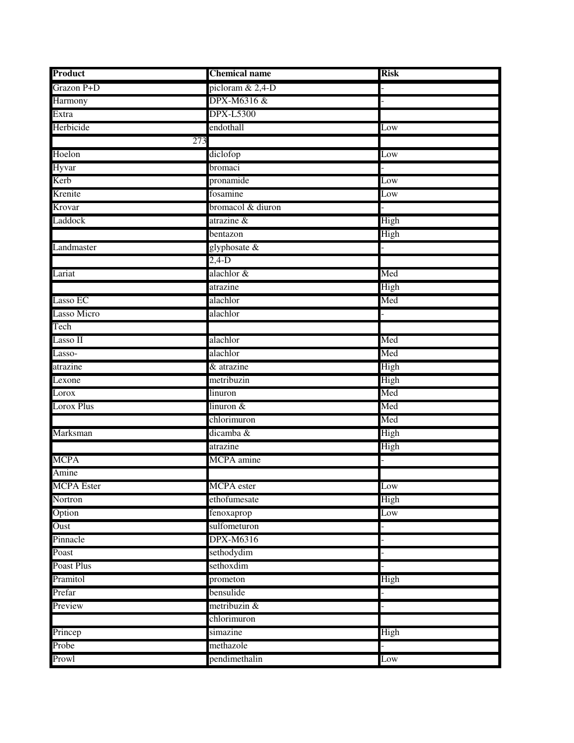| Product            | <b>Chemical name</b> | <b>Risk</b> |
|--------------------|----------------------|-------------|
| Grazon P+D         | picloram $& 2,4-D$   |             |
| Harmony            | DPX-M6316 &          |             |
| Extra              | <b>DPX-L5300</b>     |             |
| Herbicide          | endothall            | Low         |
| 273                |                      |             |
| Hoelon             | diclofop             | Low         |
| Hyvar              | bromaci              |             |
| Kerb               | pronamide            | Low         |
| Krenite            | fosamine             | Low         |
| Krovar             | bromacol & diuron    |             |
| Laddock            | atrazine &           | High        |
|                    | bentazon             | High        |
| Landmaster         | glyphosate &         |             |
|                    | $2,4-D$              |             |
| Lariat             | alachlor &           | Med         |
|                    | atrazine             | High        |
| Lasso EC           | alachlor             | Med         |
| <b>Lasso Micro</b> | alachlor             |             |
| Tech               |                      |             |
| Lasso II           | alachlor             | Med         |
| Lasso-             | alachlor             | Med         |
| atrazine           | & atrazine           | High        |
| Lexone             | metribuzin           | High        |
| Lorox              | linuron              | Med         |
| Lorox Plus         | linuron &            | Med         |
|                    | chlorimuron          | Med         |
| Marksman           | dicamba &            | High        |
|                    | atrazine             | High        |
| <b>MCPA</b>        | <b>MCPA</b> amine    |             |
| Amine              |                      |             |
| <b>MCPA</b> Ester  | <b>MCPA</b> ester    | Low         |
| Nortron            | ethofumesate         | High        |
| Option             | fenoxaprop           | Low         |
| Oust               | sulfometuron         |             |
| Pinnacle           | <b>DPX-M6316</b>     |             |
| Poast              | sethodydim           |             |
| Poast Plus         | sethoxdim            |             |
| Pramitol           | prometon             | High        |
| Prefar             | bensulide            |             |
| Preview            | metribuzin &         |             |
|                    | chlorimuron          |             |
| Princep            | simazine             | High        |
| Probe              | methazole            |             |
| Prowl              | pendimethalin        | Low         |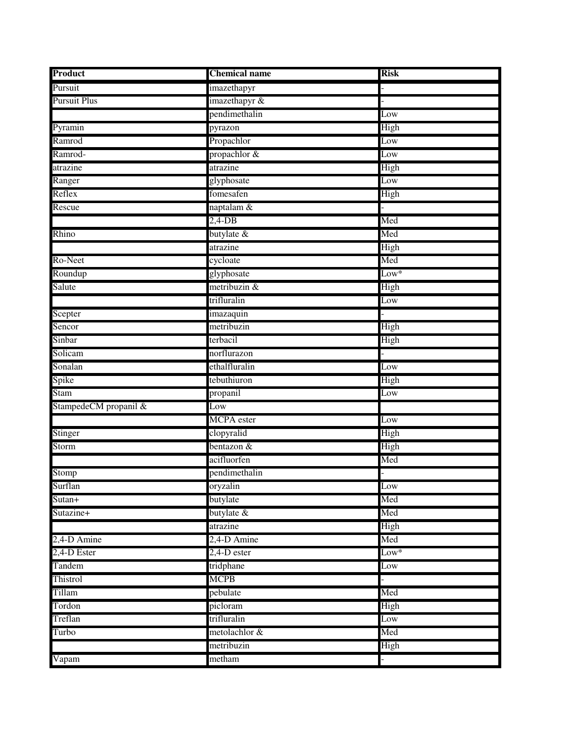| Product               | <b>Chemical name</b> | <b>Risk</b>             |
|-----------------------|----------------------|-------------------------|
| Pursuit               | imazethapyr          |                         |
| <b>Pursuit Plus</b>   | imazethapyr &        |                         |
|                       | pendimethalin        | Low                     |
| Pyramin               | pyrazon              | High                    |
| Ramrod                | Propachlor           | Low                     |
| Ramrod-               | propachlor &         | Low                     |
| atrazine              | atrazine             | High                    |
| Ranger                | glyphosate           | Low                     |
| Reflex                | fomesafen            | High                    |
| Rescue                | naptalam &           |                         |
|                       | $2,4$ -DB            | Med                     |
| Rhino                 | butylate &           | Med                     |
|                       | atrazine             | High                    |
| Ro-Neet               | cycloate             | Med                     |
| Roundup               | glyphosate           | $Low*$                  |
| Salute                | metribuzin &         | High                    |
|                       | trifluralin          | Low                     |
| Scepter               | imazaquin            |                         |
| Sencor                | metribuzin           | High                    |
| Sinbar                | terbacil             | High                    |
| Solicam               | norflurazon          |                         |
| Sonalan               | ethalfluralin        | Low                     |
| Spike                 | tebuthiuron          | High                    |
| Stam                  | propanil             | $\overline{\text{Low}}$ |
| StampedeCM propanil & | Low                  |                         |
|                       | <b>MCPA</b> ester    | Low                     |
| Stinger               | clopyralid           | High                    |
| Storm                 | bentazon &           | High                    |
|                       | acifluorfen          | Med                     |
| Stomp                 | pendimethalin        |                         |
| Surflan               | oryzalin             | $\overline{\text{Low}}$ |
| Sutan+                | butylate             | Med                     |
| Sutazine+             | butylate $\&$        | Med                     |
|                       | atrazine             | High                    |
| 2,4-D Amine           | 2,4-D Amine          | Med                     |
| 2,4-D Ester           | $2,4$ -D ester       | $Low*$                  |
| Tandem                | tridphane            | Low                     |
| Thistrol              | MCPB                 |                         |
| Tillam                | pebulate             | Med                     |
| Tordon                | picloram             | High                    |
| Treflan               | trifluralin          | Low                     |
| Turbo                 | metolachlor &        | Med                     |
|                       | metribuzin           | High                    |
| Vapam                 | metham               |                         |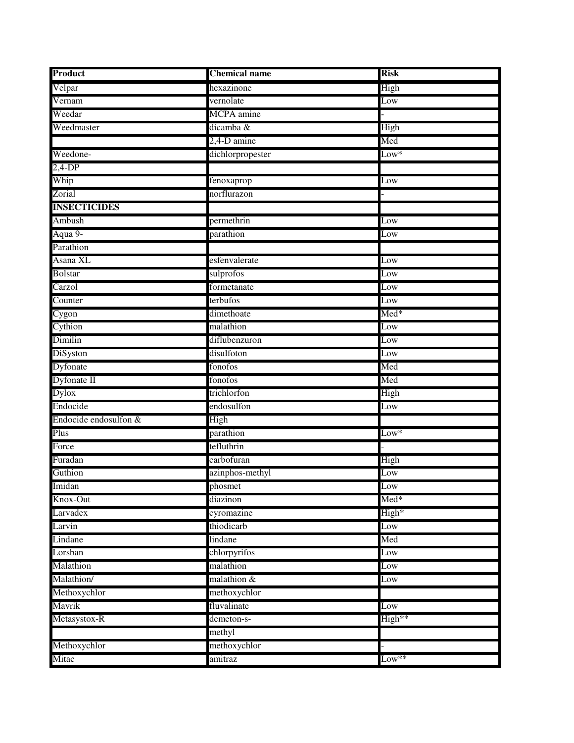| Product               | <b>Chemical name</b> | <b>Risk</b>     |
|-----------------------|----------------------|-----------------|
| Velpar                | hexazinone           | High            |
| Vernam                | vernolate            | Low             |
| Weedar                | MCPA amine           |                 |
| Weedmaster            | dicamba &            | High            |
|                       | 2,4-D amine          | Med             |
| Weedone-              | dichlorpropester     | $Low*$          |
| $2,4-DP$              |                      |                 |
| Whip                  | fenoxaprop           | Low             |
| Zorial                | norflurazon          |                 |
| <b>INSECTICIDES</b>   |                      |                 |
| Ambush                | permethrin           | Low             |
| Aqua 9-               | parathion            | Low             |
| Parathion             |                      |                 |
| Asana XL              | esfenvalerate        | Low             |
| <b>Bolstar</b>        | sulprofos            | Low             |
| Carzol                | formetanate          | Low             |
| Counter               | terbufos             | Low             |
| Cygon                 | dimethoate           | $Med*$          |
| Cythion               | malathion            | $_{\text{Low}}$ |
| Dimilin               | diflubenzuron        | Low             |
| DiSyston              | disulfoton           | Low             |
| Dyfonate              | fonofos              | Med             |
| Dyfonate II           | fonofos              | Med             |
| Dylox                 | trichlorfon          | High            |
| Endocide              | endosulfon           | Low             |
| Endocide endosulfon & | High                 |                 |
| Plus                  | parathion            | $Low*$          |
| Force                 | tefluthrin           |                 |
| Furadan               | carbofuran           | High            |
| Guthion               | azinphos-methyl      | Low             |
| Imidan                | phosmet              | Low             |
| Knox-Out              | diazinon             | Med*            |
| Larvadex              | cyromazine           | High*           |
| Larvin                | thiodicarb           | Low             |
| Lindane               | lindane              | Med             |
| Lorsban               | chlorpyrifos         | Low             |
| Malathion             | malathion            | Low             |
| Malathion/            | malathion &          | Low             |
| Methoxychlor          | methoxychlor         |                 |
| Mavrik                | fluvalinate          | Low             |
| Metasystox-R          | demeton-s-           | High**          |
|                       | methyl               |                 |
| Methoxychlor          | methoxychlor         |                 |
| Mitac                 | amitraz              | $Low***$        |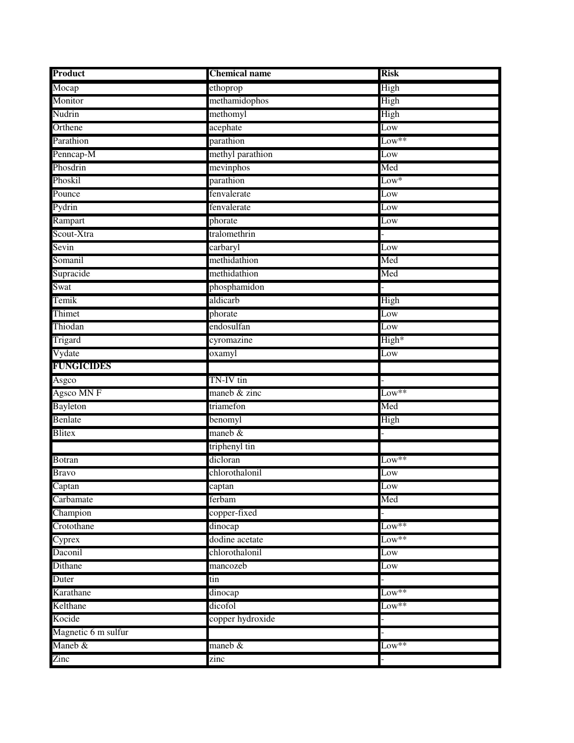| Product             | <b>Chemical name</b> | <b>Risk</b>      |
|---------------------|----------------------|------------------|
| Mocap               | ethoprop             | High             |
| Monitor             | methamidophos        | High             |
| Nudrin              | methomyl             | High             |
| Orthene             | acephate             | Low              |
| Parathion           | parathion            | Low**            |
| Penncap-M           | methyl parathion     | Low              |
| Phosdrin            | mevinphos            | Med              |
| Phoskil             | parathion            | $_{\text{Low}}*$ |
| Pounce              | fenvalerate          | Low              |
| Pydrin              | fenvalerate          | Low              |
| Rampart             | phorate              | Low              |
| Scout-Xtra          | tralomethrin         |                  |
| Sevin               | carbaryl             | Low              |
| Somanil             | methidathion         | Med              |
| Supracide           | methidathion         | Med              |
| Swat                | phosphamidon         |                  |
| Temik               | aldicarb             | High             |
| Thimet              | phorate              | Low              |
| Thiodan             | endosulfan           | Low              |
| Trigard             | cyromazine           | High*            |
| Vydate              | oxamyl               | Low              |
| <b>FUNGICIDES</b>   |                      |                  |
| Asgco               | TN-IV tin            |                  |
| Agsco MN F          | maneb & zinc         | Low**            |
| Bayleton            | triamefon            | Med              |
| Benlate             | benomyl              | High             |
| Blitex              | maneb $&$            |                  |
|                     | triphenyl tin        |                  |
| <b>Botran</b>       | dicloran             | $Low***$         |
| <b>Bravo</b>        | chlorothalonil       | Low              |
| Captan              | captan               | Low              |
| Carbamate           | ferbam               | Med              |
| Champion            | copper-fixed         |                  |
| Crotothane          | dinocap              | $Low**$          |
| Cyprex              | dodine acetate       | $Low**$          |
| Daconil             | chlorothalonil       | Low              |
| Dithane             | mancozeb             | Low              |
| Duter               | tin                  |                  |
| Karathane           | dinocap              | $Low**$          |
| Kelthane            | dicofol              | $Low**$          |
| Kocide              | copper hydroxide     |                  |
| Magnetic 6 m sulfur |                      |                  |
| Maneb &             | maneb &              | Low**            |
| Zinc                | zinc                 |                  |